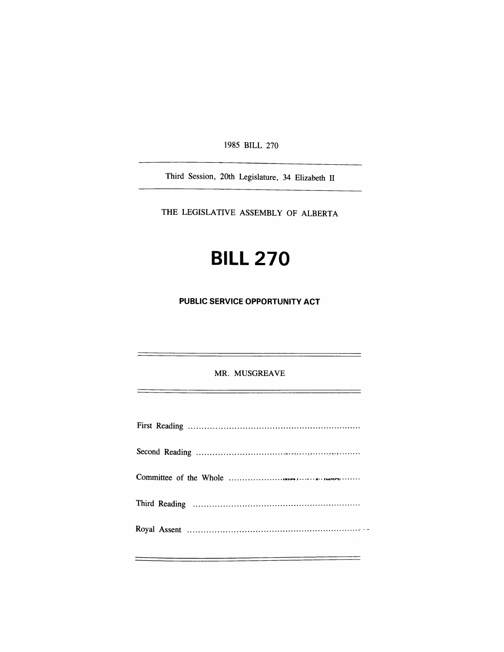1985 BILL 270

Third Session, 20th Legislature, 34 Elizabeth II

THE LEGISLATIVE ASSEMBLY OF ALBERTA

# **BILL 270**

**PUBLIC SERVICE OPPORTUNITY ACT** 

MR. MUSGREAVE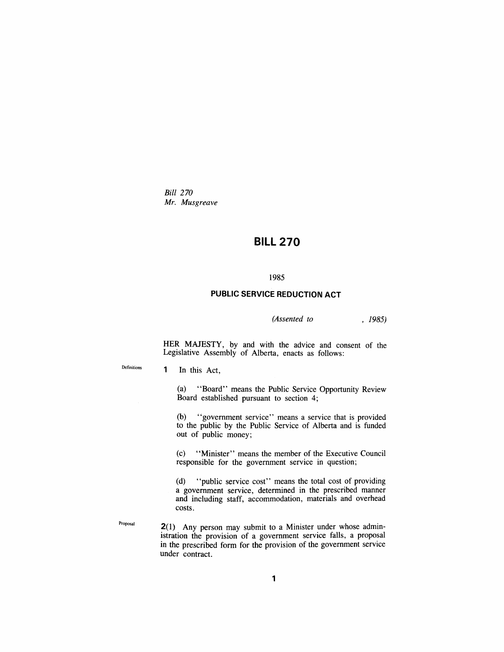*Bid 270 Mr. Musgreave* 

## **BILL 270**

#### **1985**

### **PUBLIC SERVICE REDUCTION ACT**

*(Assented to , 1985)* 

HER MAJESTY, by and with the advice and consent of the Legislative Assembly of Alberta, enacts as follows:

Definitions

1 In this Act,

(a) "Board" means the Public Service Opportunity Review Board established pursuant to section 4;

(b) "government service" means a service that is provided to the public by the Public Service of Alberta and is funded out of public money;

(c) "Minister" means the member of the Executive Council responsible for the government service in question;

(d) "public service cost" means the total cost of providing a government service, determined in the prescribed manner and including staff, accommodation, materials and overhead costs.

Proposal

2(1) Any person may submit to a Minister under whose administration the provision of a government service falls, a proposal in the prescribed form for the provision of the government service under contract.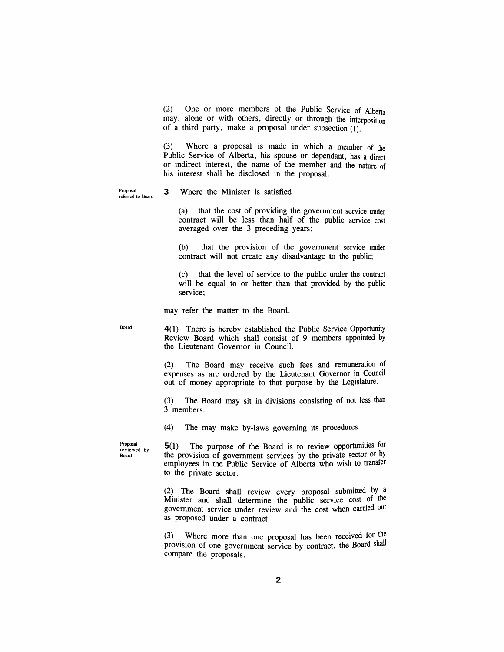(2) One or more members of the Public Service of Alberta may, alone or with others, directiy or through the interposition of a third party, make a proposal under subsection (1).

(3) Where a proposal is made in which a member of the Public Service of Alberta, his spouse or dependant, has a direct or indirect interest, the name of the member and the nature of his interest shall be disclosed in the proposal.

Proposal referred to Board

#### 3 Where the Minister is satisfied

(a) that the cost of providing the government service under contract will be less than half of the public service cost averaged over the 3 preceding years;

(b) that the provision of the government service under contract will not create any disadvantage to the public;

(c) that the level of service to the public under the contract will be equal to or better than that provided by the public service;

may refer the matter to the Board.

Board

4(1) There is hereby established the Public Service Opportunity Review Board which shall consist of 9 members appointed by the Lieutenant Governor in Council.

(2) The Board may receive such fees and remuneration of expenses as are ordered by the Lieutenant Governor in Council out of money appropriate to that purpose by the Legislature.

(3) The Board may sit in divisions consisting of not less than 3 members.

(4) The may make by-laws governing its procedures.

Proposal reviewed by Board

5(1) The purpose of the Board is to review opportunities for the provision of government services by the private sector or by employees in the Public Service of Alberta who wish to transfer to the private sector.

(2) The Board shall review every proposal submitted by a Minister and shall determine the public service cost of the government service under review and the cost when carried out as proposed under a contract.

(3) Where more than one proposal has been received for the provision of one government service by contract, the Board shall compare the proposals.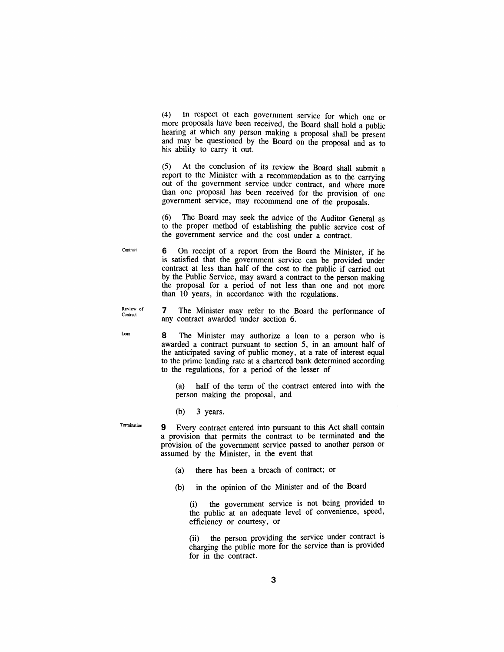(4) in respect ot each government service for which one or more proposals have been received, the Board shall hold a public hearing at which any person making a proposal shall be present and may be questioned by the Board on the proposal and as to his ability to carry it out.

(5) At the conclusion of its review the Board shall submit a report to the Minister with a recommendation as to the carrying out of the government service under contract, and where more than one proposal has been received for the provision of one government service, may recommend one of the proposals.

(6) The Board may seek the advice of the Auditor General as to the proper method of establishing the public service cost of the government service and the cost under a contract.

Contract 6 On receipt of a report from the Board the Minister, if he is satisfied that the government service can be provided under contract at less than half of the cost to the public if carried out by the Public Service, may award a contract to the person making the proposal for a period of not less than one and not more than 10 years, in accordance with the regulations.

**Review of**  7 The Minister may refer to the Board the performance of any contract awarded under section 6.

Loan

**Contract** 

8 The Minister may authorize a loan to a person who is awarded a contract pursuant to section 5, in an amount half of the anticipated saving of public money, at a rate of interest equal to the prime lending rate at a chartered bank determined according to the regulations, for a period of the lesser of

(a) half of the term of the contract entered into with the person making the proposal, and

(b) 3 years.

**Termination** 

9 Every contract entered into pursuant to this Act shall contain a provision that permits the contract to be terminated and the provision of the government service passed to another person or assumed by the Minister, in the event that

- (a) there has been a breach of contract; or
- (b) in the opinion of the Minister and of the Board

(i) the government service is not being provided to the public at an adequate level of convenience, speed, efficiency or courtesy, or

(ii) the person providing die service under contract is charging the public more for the service than is provided for in the contract.